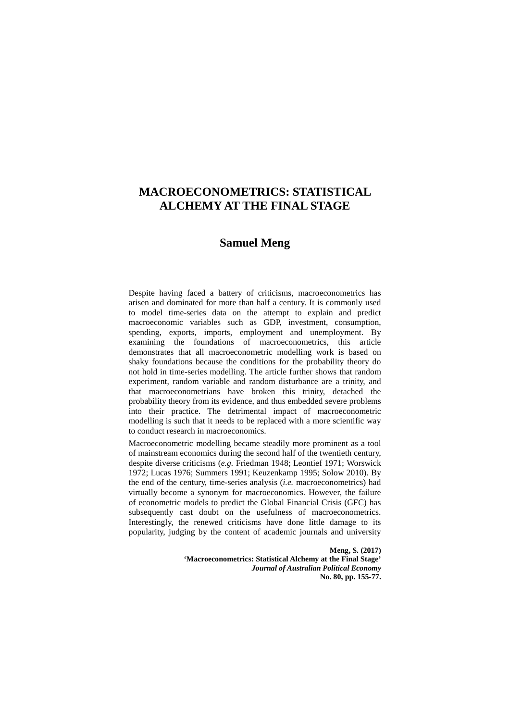## **Samuel Meng**

Despite having faced a battery of criticisms, macroeconometrics has arisen and dominated for more than half a century. It is commonly used to model time-series data on the attempt to explain and predict macroeconomic variables such as GDP, investment, consumption, spending, exports, imports, employment and unemployment. By examining the foundations of macroeconometrics, this article demonstrates that all macroeconometric modelling work is based on shaky foundations because the conditions for the probability theory do not hold in time-series modelling. The article further shows that random experiment, random variable and random disturbance are a trinity, and that macroeconometrians have broken this trinity, detached the probability theory from its evidence, and thus embedded severe problems into their practice. The detrimental impact of macroeconometric modelling is such that it needs to be replaced with a more scientific way to conduct research in macroeconomics.

Macroeconometric modelling became steadily more prominent as a tool of mainstream economics during the second half of the twentieth century, despite diverse criticisms (*e.g.* Friedman 1948; Leontief 1971; Worswick 1972; Lucas 1976; Summers 1991; Keuzenkamp 1995; Solow 2010). By the end of the century, time-series analysis (*i.e.* macroeconometrics) had virtually become a synonym for macroeconomics. However, the failure of econometric models to predict the Global Financial Crisis (GFC) has subsequently cast doubt on the usefulness of macroeconometrics. Interestingly, the renewed criticisms have done little damage to its popularity, judging by the content of academic journals and university

> **Meng, S. (2017) 'Macroeconometrics: Statistical Alchemy at the Final Stage'**  *Journal of Australian Political Economy* **No. 80, pp. 155-77.**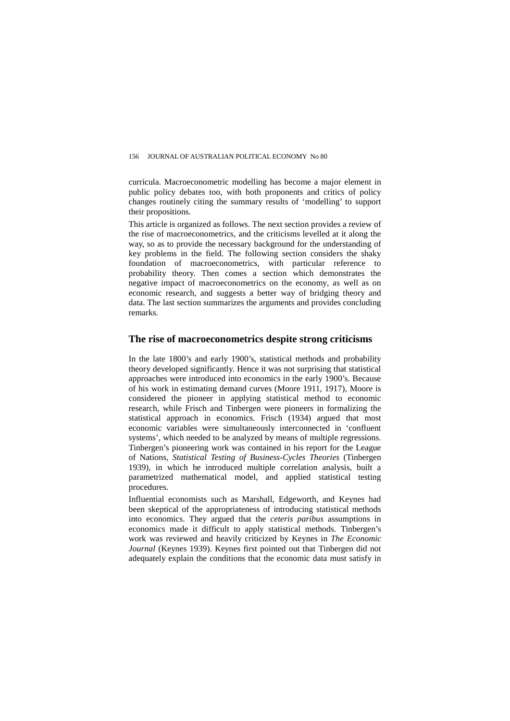curricula. Macroeconometric modelling has become a major element in public policy debates too, with both proponents and critics of policy changes routinely citing the summary results of 'modelling' to support their propositions.

This article is organized as follows. The next section provides a review of the rise of macroeconometrics, and the criticisms levelled at it along the way, so as to provide the necessary background for the understanding of key problems in the field. The following section considers the shaky foundation of macroeconometrics, with particular reference to probability theory. Then comes a section which demonstrates the negative impact of macroeconometrics on the economy, as well as on economic research, and suggests a better way of bridging theory and data. The last section summarizes the arguments and provides concluding remarks.

### **The rise of macroeconometrics despite strong criticisms**

In the late 1800's and early 1900's, statistical methods and probability theory developed significantly. Hence it was not surprising that statistical approaches were introduced into economics in the early 1900's. Because of his work in estimating demand curves (Moore 1911, 1917), Moore is considered the pioneer in applying statistical method to economic research, while Frisch and Tinbergen were pioneers in formalizing the statistical approach in economics. Frisch (1934) argued that most economic variables were simultaneously interconnected in 'confluent systems', which needed to be analyzed by means of multiple regressions. Tinbergen's pioneering work was contained in his report for the League of Nations, *Statistical Testing of Business-Cycles Theories* (Tinbergen 1939), in which he introduced multiple correlation analysis, built a parametrized mathematical model, and applied statistical testing procedures.

Influential economists such as Marshall, Edgeworth, and Keynes had been skeptical of the appropriateness of introducing statistical methods into economics. They argued that the *ceteris paribus* assumptions in economics made it difficult to apply statistical methods. Tinbergen's work was reviewed and heavily criticized by Keynes in *The Economic Journal* (Keynes 1939). Keynes first pointed out that Tinbergen did not adequately explain the conditions that the economic data must satisfy in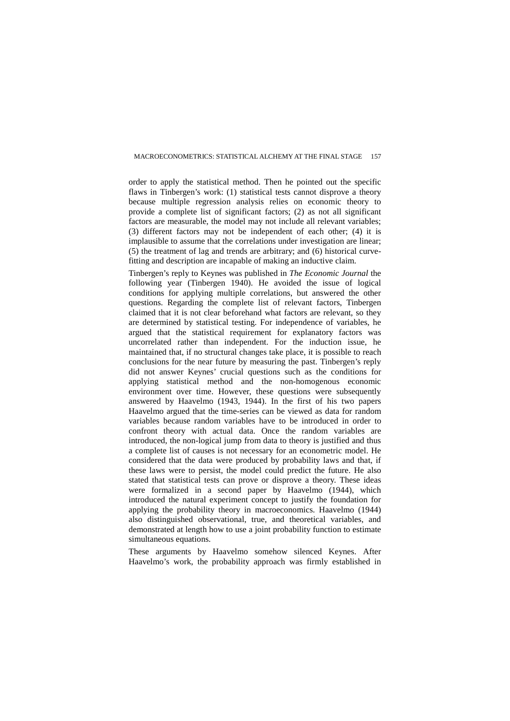order to apply the statistical method. Then he pointed out the specific flaws in Tinbergen's work: (1) statistical tests cannot disprove a theory because multiple regression analysis relies on economic theory to provide a complete list of significant factors; (2) as not all significant factors are measurable, the model may not include all relevant variables; (3) different factors may not be independent of each other; (4) it is implausible to assume that the correlations under investigation are linear;  $(5)$  the treatment of lag and trends are arbitrary; and  $(6)$  historical curvefitting and description are incapable of making an inductive claim.

Tinbergen's reply to Keynes was published in *The Economic Journal* the following year (Tinbergen 1940). He avoided the issue of logical conditions for applying multiple correlations, but answered the other questions. Regarding the complete list of relevant factors, Tinbergen claimed that it is not clear beforehand what factors are relevant, so they are determined by statistical testing. For independence of variables, he argued that the statistical requirement for explanatory factors was uncorrelated rather than independent. For the induction issue, he maintained that, if no structural changes take place, it is possible to reach conclusions for the near future by measuring the past. Tinbergen's reply did not answer Keynes' crucial questions such as the conditions for applying statistical method and the non-homogenous economic environment over time. However, these questions were subsequently answered by Haavelmo (1943, 1944). In the first of his two papers Haavelmo argued that the time-series can be viewed as data for random variables because random variables have to be introduced in order to confront theory with actual data. Once the random variables are introduced, the non-logical jump from data to theory is justified and thus a complete list of causes is not necessary for an econometric model. He considered that the data were produced by probability laws and that, if these laws were to persist, the model could predict the future. He also stated that statistical tests can prove or disprove a theory. These ideas were formalized in a second paper by Haavelmo (1944), which introduced the natural experiment concept to justify the foundation for applying the probability theory in macroeconomics. Haavelmo (1944) also distinguished observational, true, and theoretical variables, and demonstrated at length how to use a joint probability function to estimate simultaneous equations.

These arguments by Haavelmo somehow silenced Keynes. After Haavelmo's work, the probability approach was firmly established in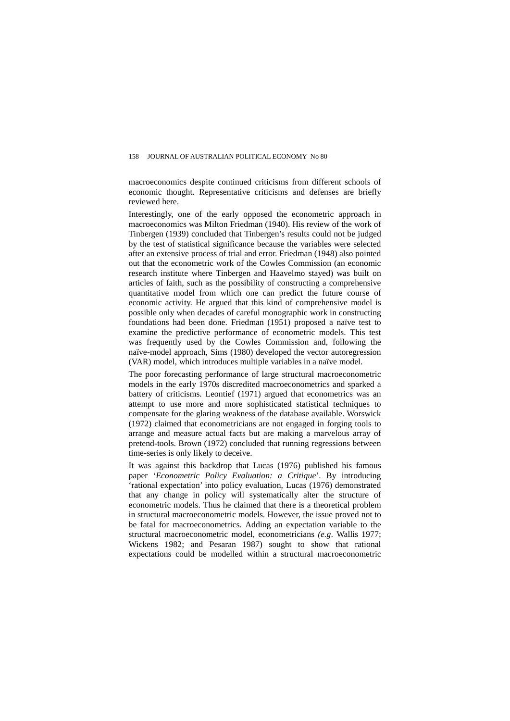macroeconomics despite continued criticisms from different schools of economic thought. Representative criticisms and defenses are briefly reviewed here.

Interestingly, one of the early opposed the econometric approach in macroeconomics was Milton Friedman (1940). His review of the work of Tinbergen (1939) concluded that Tinbergen's results could not be judged by the test of statistical significance because the variables were selected after an extensive process of trial and error. Friedman (1948) also pointed out that the econometric work of the Cowles Commission (an economic research institute where Tinbergen and Haavelmo stayed) was built on articles of faith, such as the possibility of constructing a comprehensive quantitative model from which one can predict the future course of economic activity. He argued that this kind of comprehensive model is possible only when decades of careful monographic work in constructing foundations had been done. Friedman (1951) proposed a naïve test to examine the predictive performance of econometric models. This test was frequently used by the Cowles Commission and, following the naïve-model approach, Sims (1980) developed the vector autoregression (VAR) model, which introduces multiple variables in a naïve model.

The poor forecasting performance of large structural macroeconometric models in the early 1970s discredited macroeconometrics and sparked a battery of criticisms. Leontief (1971) argued that econometrics was an attempt to use more and more sophisticated statistical techniques to compensate for the glaring weakness of the database available. Worswick (1972) claimed that econometricians are not engaged in forging tools to arrange and measure actual facts but are making a marvelous array of pretend-tools. Brown (1972) concluded that running regressions between time-series is only likely to deceive.

It was against this backdrop that Lucas (1976) published his famous paper '*Econometric Policy Evaluation: a Critique*'. By introducing 'rational expectation' into policy evaluation, Lucas (1976) demonstrated that any change in policy will systematically alter the structure of econometric models. Thus he claimed that there is a theoretical problem in structural macroeconometric models. However, the issue proved not to be fatal for macroeconometrics. Adding an expectation variable to the structural macroeconometric model, econometricians *(e.g*. Wallis 1977; Wickens 1982; and Pesaran 1987) sought to show that rational expectations could be modelled within a structural macroeconometric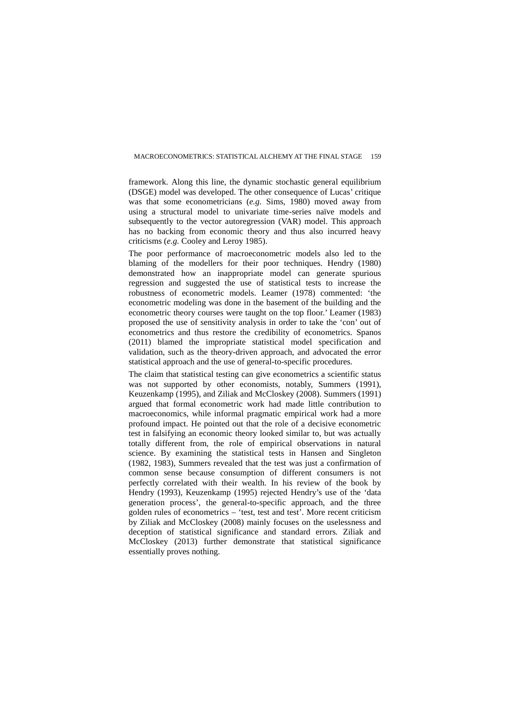framework. Along this line, the dynamic stochastic general equilibrium (DSGE) model was developed. The other consequence of Lucas' critique was that some econometricians (*e.g.* Sims, 1980) moved away from using a structural model to univariate time-series naïve models and subsequently to the vector autoregression (VAR) model. This approach has no backing from economic theory and thus also incurred heavy criticisms (*e.g.* Cooley and Leroy 1985).

The poor performance of macroeconometric models also led to the blaming of the modellers for their poor techniques. Hendry (1980) demonstrated how an inappropriate model can generate spurious regression and suggested the use of statistical tests to increase the robustness of econometric models. Leamer (1978) commented: 'the econometric modeling was done in the basement of the building and the econometric theory courses were taught on the top floor.' Leamer (1983) proposed the use of sensitivity analysis in order to take the 'con' out of econometrics and thus restore the credibility of econometrics. Spanos (2011) blamed the impropriate statistical model specification and validation, such as the theory-driven approach, and advocated the error statistical approach and the use of general-to-specific procedures.

The claim that statistical testing can give econometrics a scientific status was not supported by other economists, notably, Summers (1991), Keuzenkamp (1995), and Ziliak and McCloskey (2008). Summers (1991) argued that formal econometric work had made little contribution to macroeconomics, while informal pragmatic empirical work had a more profound impact. He pointed out that the role of a decisive econometric test in falsifying an economic theory looked similar to, but was actually totally different from, the role of empirical observations in natural science. By examining the statistical tests in Hansen and Singleton (1982, 1983), Summers revealed that the test was just a confirmation of common sense because consumption of different consumers is not perfectly correlated with their wealth. In his review of the book by Hendry (1993), Keuzenkamp (1995) rejected Hendry's use of the 'data generation process', the general-to-specific approach, and the three golden rules of econometrics – 'test, test and test'. More recent criticism by Ziliak and McCloskey (2008) mainly focuses on the uselessness and deception of statistical significance and standard errors. Ziliak and McCloskey (2013) further demonstrate that statistical significance essentially proves nothing.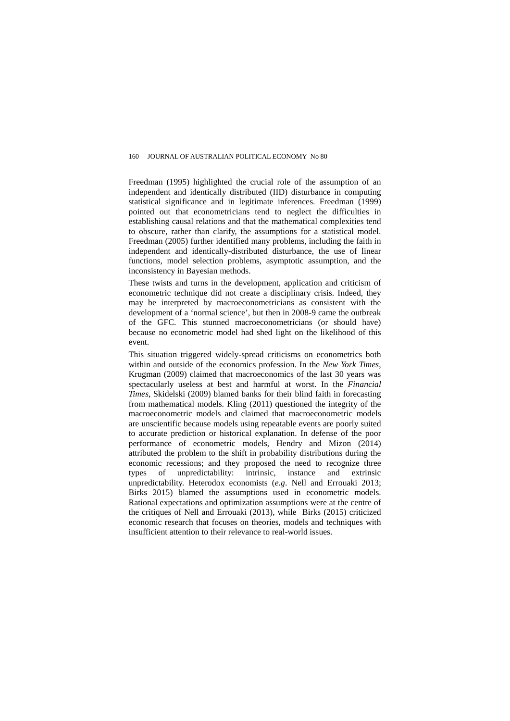Freedman (1995) highlighted the crucial role of the assumption of an independent and identically distributed (IID) disturbance in computing statistical significance and in legitimate inferences. Freedman (1999) pointed out that econometricians tend to neglect the difficulties in establishing causal relations and that the mathematical complexities tend to obscure, rather than clarify, the assumptions for a statistical model. Freedman (2005) further identified many problems, including the faith in independent and identically-distributed disturbance, the use of linear functions, model selection problems, asymptotic assumption, and the inconsistency in Bayesian methods.

These twists and turns in the development, application and criticism of econometric technique did not create a disciplinary crisis. Indeed, they may be interpreted by macroeconometricians as consistent with the development of a 'normal science', but then in 2008-9 came the outbreak of the GFC. This stunned macroeconometricians (or should have) because no econometric model had shed light on the likelihood of this event.

This situation triggered widely-spread criticisms on econometrics both within and outside of the economics profession. In the *New York Times*, Krugman (2009) claimed that macroeconomics of the last 30 years was spectacularly useless at best and harmful at worst. In the *Financial Times*, Skidelski (2009) blamed banks for their blind faith in forecasting from mathematical models. Kling (2011) questioned the integrity of the macroeconometric models and claimed that macroeconometric models are unscientific because models using repeatable events are poorly suited to accurate prediction or historical explanation. In defense of the poor performance of econometric models, Hendry and Mizon (2014) attributed the problem to the shift in probability distributions during the economic recessions; and they proposed the need to recognize three types of unpredictability: intrinsic, instance and extrinsic unpredictability. Heterodox economists (*e.g*. Nell and Errouaki 2013; Birks 2015) blamed the assumptions used in econometric models. Rational expectations and optimization assumptions were at the centre of the critiques of Nell and Errouaki (2013), while Birks (2015) criticized economic research that focuses on theories, models and techniques with insufficient attention to their relevance to real-world issues.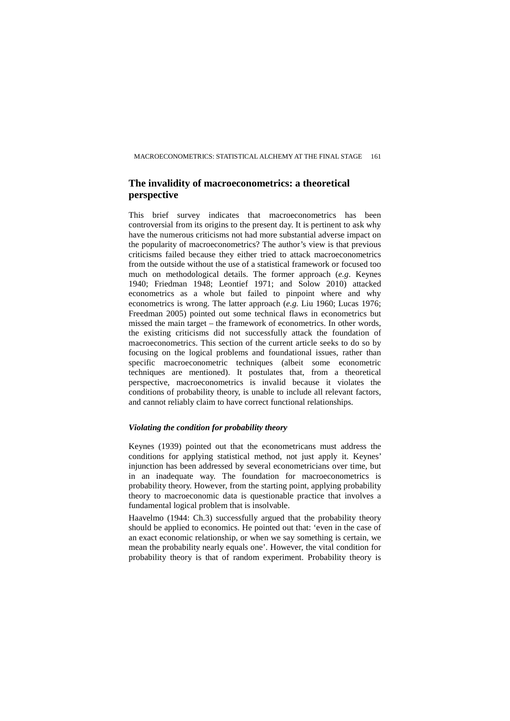## **The invalidity of macroeconometrics: a theoretical perspective**

This brief survey indicates that macroeconometrics has been controversial from its origins to the present day. It is pertinent to ask why have the numerous criticisms not had more substantial adverse impact on the popularity of macroeconometrics? The author's view is that previous criticisms failed because they either tried to attack macroeconometrics from the outside without the use of a statistical framework or focused too much on methodological details. The former approach (*e.g*. Keynes 1940; Friedman 1948; Leontief 1971; and Solow 2010) attacked econometrics as a whole but failed to pinpoint where and why econometrics is wrong. The latter approach (*e.g.* Liu 1960; Lucas 1976; Freedman 2005) pointed out some technical flaws in econometrics but missed the main target – the framework of econometrics. In other words, the existing criticisms did not successfully attack the foundation of macroeconometrics. This section of the current article seeks to do so by focusing on the logical problems and foundational issues, rather than specific macroeconometric techniques (albeit some econometric techniques are mentioned). It postulates that, from a theoretical perspective, macroeconometrics is invalid because it violates the conditions of probability theory, is unable to include all relevant factors, and cannot reliably claim to have correct functional relationships.

#### *Violating the condition for probability theory*

Keynes (1939) pointed out that the econometricans must address the conditions for applying statistical method, not just apply it. Keynes' injunction has been addressed by several econometricians over time, but in an inadequate way. The foundation for macroeconometrics is probability theory. However, from the starting point, applying probability theory to macroeconomic data is questionable practice that involves a fundamental logical problem that is insolvable.

Haavelmo (1944: Ch.3) successfully argued that the probability theory should be applied to economics. He pointed out that: 'even in the case of an exact economic relationship, or when we say something is certain, we mean the probability nearly equals one'. However, the vital condition for probability theory is that of random experiment. Probability theory is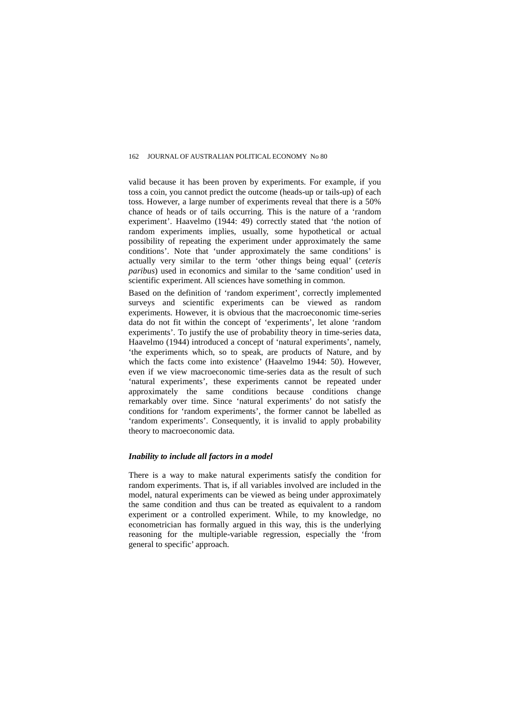valid because it has been proven by experiments. For example, if you toss a coin, you cannot predict the outcome (heads-up or tails-up) of each toss. However, a large number of experiments reveal that there is a 50% chance of heads or of tails occurring. This is the nature of a 'random experiment'. Haavelmo (1944: 49) correctly stated that 'the notion of random experiments implies, usually, some hypothetical or actual possibility of repeating the experiment under approximately the same conditions'. Note that 'under approximately the same conditions' is actually very similar to the term 'other things being equal' (*ceteris paribus*) used in economics and similar to the 'same condition' used in scientific experiment. All sciences have something in common.

Based on the definition of 'random experiment', correctly implemented surveys and scientific experiments can be viewed as random experiments. However, it is obvious that the macroeconomic time-series data do not fit within the concept of 'experiments', let alone 'random experiments'. To justify the use of probability theory in time-series data, Haavelmo (1944) introduced a concept of 'natural experiments', namely, 'the experiments which, so to speak, are products of Nature, and by which the facts come into existence' (Haavelmo 1944: 50). However, even if we view macroeconomic time-series data as the result of such 'natural experiments', these experiments cannot be repeated under approximately the same conditions because conditions change remarkably over time. Since 'natural experiments' do not satisfy the conditions for 'random experiments', the former cannot be labelled as 'random experiments'. Consequently, it is invalid to apply probability theory to macroeconomic data.

### *Inability to include all factors in a model*

There is a way to make natural experiments satisfy the condition for random experiments. That is, if all variables involved are included in the model, natural experiments can be viewed as being under approximately the same condition and thus can be treated as equivalent to a random experiment or a controlled experiment. While, to my knowledge, no econometrician has formally argued in this way, this is the underlying reasoning for the multiple-variable regression, especially the 'from general to specific' approach.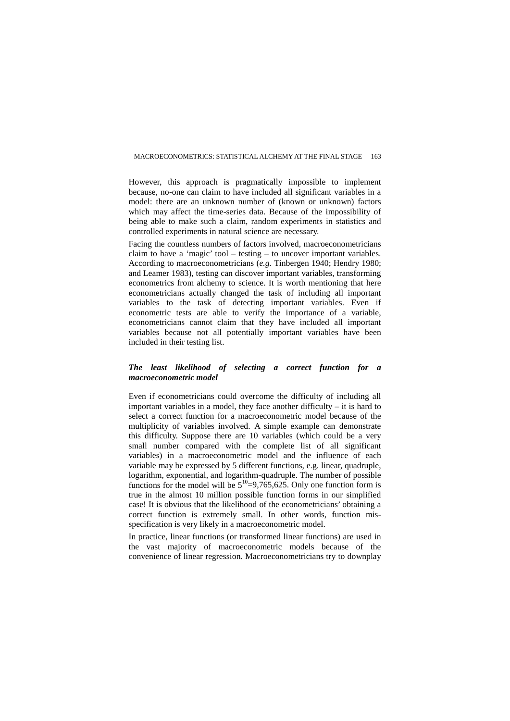However, this approach is pragmatically impossible to implement because, no-one can claim to have included all significant variables in a model: there are an unknown number of (known or unknown) factors which may affect the time-series data. Because of the impossibility of being able to make such a claim, random experiments in statistics and controlled experiments in natural science are necessary.

Facing the countless numbers of factors involved, macroeconometricians claim to have a 'magic' tool – testing – to uncover important variables. According to macroeconometricians (*e.g.* Tinbergen 1940; Hendry 1980; and Leamer 1983), testing can discover important variables, transforming econometrics from alchemy to science. It is worth mentioning that here econometricians actually changed the task of including all important variables to the task of detecting important variables. Even if econometric tests are able to verify the importance of a variable, econometricians cannot claim that they have included all important variables because not all potentially important variables have been included in their testing list.

### *The least likelihood of selecting a correct function for a macroeconometric model*

Even if econometricians could overcome the difficulty of including all important variables in a model, they face another difficulty – it is hard to select a correct function for a macroeconometric model because of the multiplicity of variables involved. A simple example can demonstrate this difficulty. Suppose there are 10 variables (which could be a very small number compared with the complete list of all significant variables) in a macroeconometric model and the influence of each variable may be expressed by 5 different functions, e.g. linear, quadruple, logarithm, exponential, and logarithm-quadruple. The number of possible functions for the model will be  $5^{10} = 9.765625$ . Only one function form is true in the almost 10 million possible function forms in our simplified case! It is obvious that the likelihood of the econometricians' obtaining a correct function is extremely small. In other words, function misspecification is very likely in a macroeconometric model.

In practice, linear functions (or transformed linear functions) are used in the vast majority of macroeconometric models because of the convenience of linear regression. Macroeconometricians try to downplay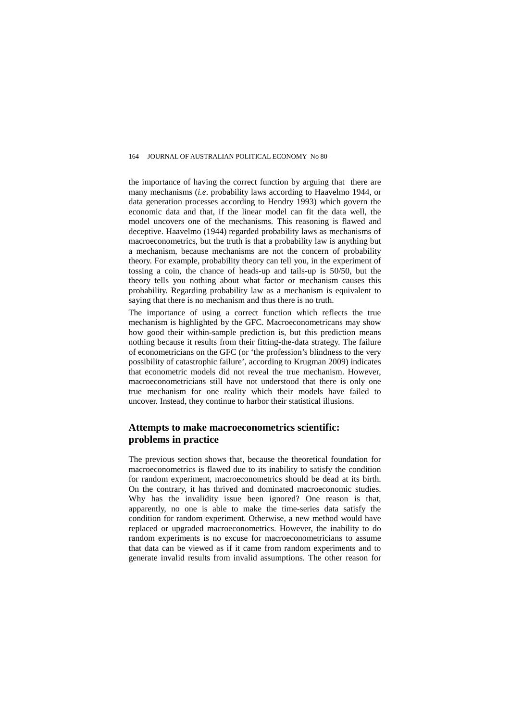the importance of having the correct function by arguing that there are many mechanisms (*i.e*. probability laws according to Haavelmo 1944, or data generation processes according to Hendry 1993) which govern the economic data and that, if the linear model can fit the data well, the model uncovers one of the mechanisms. This reasoning is flawed and deceptive. Haavelmo (1944) regarded probability laws as mechanisms of macroeconometrics, but the truth is that a probability law is anything but a mechanism, because mechanisms are not the concern of probability theory. For example, probability theory can tell you, in the experiment of tossing a coin, the chance of heads-up and tails-up is 50/50, but the theory tells you nothing about what factor or mechanism causes this probability. Regarding probability law as a mechanism is equivalent to saying that there is no mechanism and thus there is no truth.

The importance of using a correct function which reflects the true mechanism is highlighted by the GFC. Macroeconometricans may show how good their within-sample prediction is, but this prediction means nothing because it results from their fitting-the-data strategy. The failure of econometricians on the GFC (or 'the profession's blindness to the very possibility of catastrophic failure', according to Krugman 2009) indicates that econometric models did not reveal the true mechanism. However, macroeconometricians still have not understood that there is only one true mechanism for one reality which their models have failed to uncover. Instead, they continue to harbor their statistical illusions.

## **Attempts to make macroeconometrics scientific: problems in practice**

The previous section shows that, because the theoretical foundation for macroeconometrics is flawed due to its inability to satisfy the condition for random experiment, macroeconometrics should be dead at its birth. On the contrary, it has thrived and dominated macroeconomic studies. Why has the invalidity issue been ignored? One reason is that, apparently, no one is able to make the time-series data satisfy the condition for random experiment. Otherwise, a new method would have replaced or upgraded macroeconometrics. However, the inability to do random experiments is no excuse for macroeconometricians to assume that data can be viewed as if it came from random experiments and to generate invalid results from invalid assumptions. The other reason for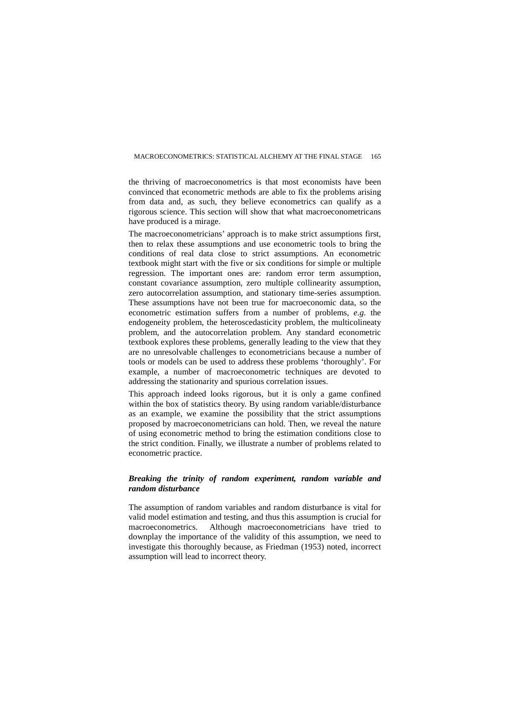the thriving of macroeconometrics is that most economists have been convinced that econometric methods are able to fix the problems arising from data and, as such, they believe econometrics can qualify as a rigorous science. This section will show that what macroeconometricans have produced is a mirage.

The macroeconometricians' approach is to make strict assumptions first, then to relax these assumptions and use econometric tools to bring the conditions of real data close to strict assumptions. An econometric textbook might start with the five or six conditions for simple or multiple regression. The important ones are: random error term assumption, constant covariance assumption, zero multiple collinearity assumption, zero autocorrelation assumption, and stationary time-series assumption. These assumptions have not been true for macroeconomic data, so the econometric estimation suffers from a number of problems, *e.g.* the endogeneity problem, the heteroscedasticity problem, the multicolineaty problem, and the autocorrelation problem. Any standard econometric textbook explores these problems, generally leading to the view that they are no unresolvable challenges to econometricians because a number of tools or models can be used to address these problems 'thoroughly'. For example, a number of macroeconometric techniques are devoted to addressing the stationarity and spurious correlation issues.

This approach indeed looks rigorous, but it is only a game confined within the box of statistics theory. By using random variable/disturbance as an example, we examine the possibility that the strict assumptions proposed by macroeconometricians can hold. Then, we reveal the nature of using econometric method to bring the estimation conditions close to the strict condition. Finally, we illustrate a number of problems related to econometric practice.

## *Breaking the trinity of random experiment, random variable and random disturbance*

The assumption of random variables and random disturbance is vital for valid model estimation and testing, and thus this assumption is crucial for macroeconometrics. Although macroeconometricians have tried to downplay the importance of the validity of this assumption, we need to investigate this thoroughly because, as Friedman (1953) noted, incorrect assumption will lead to incorrect theory.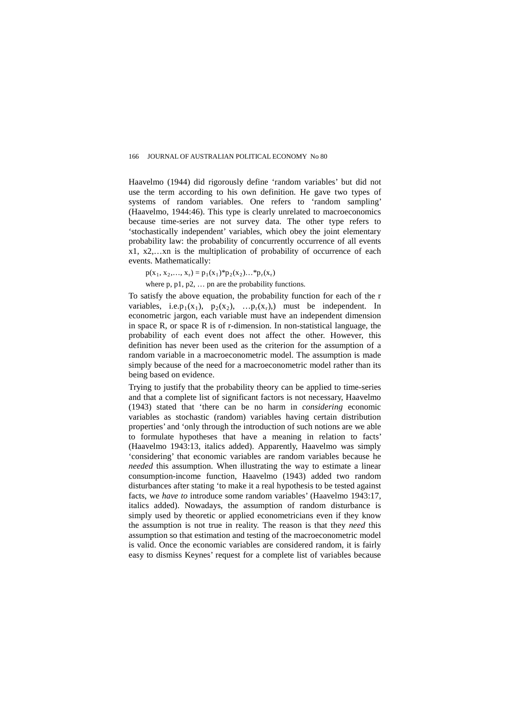Haavelmo (1944) did rigorously define 'random variables' but did not use the term according to his own definition. He gave two types of systems of random variables. One refers to 'random sampling' (Haavelmo, 1944:46). This type is clearly unrelated to macroeconomics because time-series are not survey data. The other type refers to 'stochastically independent' variables, which obey the joint elementary probability law: the probability of concurrently occurrence of all events x1, x2,…xn is the multiplication of probability of occurrence of each events. Mathematically:

 $p(x_1, x_2,..., x_r) = p_1(x_1) * p_2(x_2)... * p_r(x_r)$ 

where p, p1, p2, … pn are the probability functions.

To satisfy the above equation, the probability function for each of the r variables, i.e.p<sub>1</sub>(x<sub>1</sub>), p<sub>2</sub>(x<sub>2</sub>), ...p<sub>r</sub>(x<sub>r</sub>),) must be independent. In econometric jargon, each variable must have an independent dimension in space R, or space R is of r-dimension. In non-statistical language, the probability of each event does not affect the other. However, this definition has never been used as the criterion for the assumption of a random variable in a macroeconometric model. The assumption is made simply because of the need for a macroeconometric model rather than its being based on evidence.

Trying to justify that the probability theory can be applied to time-series and that a complete list of significant factors is not necessary, Haavelmo (1943) stated that 'there can be no harm in *considering* economic variables as stochastic (random) variables having certain distribution properties' and 'only through the introduction of such notions are we able to formulate hypotheses that have a meaning in relation to facts' (Haavelmo 1943:13, italics added). Apparently, Haavelmo was simply 'considering' that economic variables are random variables because he *needed* this assumption. When illustrating the way to estimate a linear consumption-income function, Haavelmo (1943) added two random disturbances after stating 'to make it a real hypothesis to be tested against facts, we *have to* introduce some random variables' (Haavelmo 1943:17, italics added). Nowadays, the assumption of random disturbance is simply used by theoretic or applied econometricians even if they know the assumption is not true in reality. The reason is that they *need* this assumption so that estimation and testing of the macroeconometric model is valid. Once the economic variables are considered random, it is fairly easy to dismiss Keynes' request for a complete list of variables because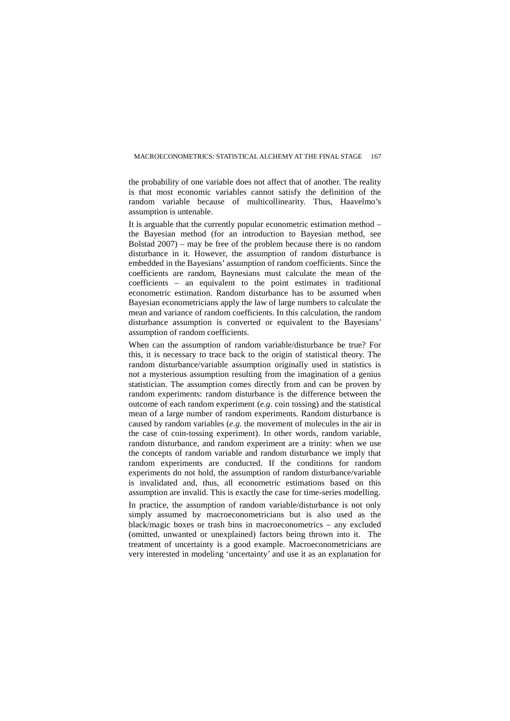the probability of one variable does not affect that of another. The reality is that most economic variables cannot satisfy the definition of the random variable because of multicollinearity. Thus, Haavelmo's assumption is untenable.

It is arguable that the currently popular econometric estimation method – the Bayesian method (for an introduction to Bayesian method, see Bolstad 2007) – may be free of the problem because there is no random disturbance in it. However, the assumption of random disturbance is embedded in the Bayesians' assumption of random coefficients. Since the coefficients are random, Baynesians must calculate the mean of the coefficients – an equivalent to the point estimates in traditional econometric estimation. Random disturbance has to be assumed when Bayesian econometricians apply the law of large numbers to calculate the mean and variance of random coefficients. In this calculation, the random disturbance assumption is converted or equivalent to the Bayesians' assumption of random coefficients.

When can the assumption of random variable/disturbance be true? For this, it is necessary to trace back to the origin of statistical theory. The random disturbance/variable assumption originally used in statistics is not a mysterious assumption resulting from the imagination of a genius statistician. The assumption comes directly from and can be proven by random experiments: random disturbance is the difference between the outcome of each random experiment (*e.g*. coin tossing) and the statistical mean of a large number of random experiments. Random disturbance is caused by random variables (*e.g*. the movement of molecules in the air in the case of coin-tossing experiment). In other words, random variable, random disturbance, and random experiment are a trinity: when we use the concepts of random variable and random disturbance we imply that random experiments are conducted. If the conditions for random experiments do not hold, the assumption of random disturbance/variable is invalidated and, thus, all econometric estimations based on this assumption are invalid. This is exactly the case for time-series modelling.

In practice, the assumption of random variable/disturbance is not only simply assumed by macroeconometricians but is also used as the black/magic boxes or trash bins in macroeconometrics – any excluded (omitted, unwanted or unexplained) factors being thrown into it. The treatment of uncertainty is a good example. Macroeconometricians are very interested in modeling 'uncertainty' and use it as an explanation for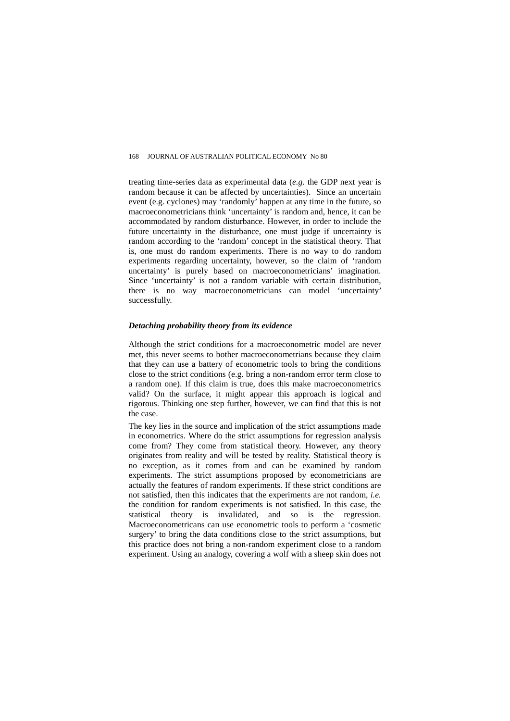treating time-series data as experimental data (*e.g*. the GDP next year is random because it can be affected by uncertainties). Since an uncertain event (e.g. cyclones) may 'randomly' happen at any time in the future, so macroeconometricians think 'uncertainty' is random and, hence, it can be accommodated by random disturbance. However, in order to include the future uncertainty in the disturbance, one must judge if uncertainty is random according to the 'random' concept in the statistical theory. That is, one must do random experiments. There is no way to do random experiments regarding uncertainty, however, so the claim of 'random uncertainty' is purely based on macroeconometricians' imagination. Since 'uncertainty' is not a random variable with certain distribution, there is no way macroeconometricians can model 'uncertainty' successfully.

#### *Detaching probability theory from its evidence*

Although the strict conditions for a macroeconometric model are never met, this never seems to bother macroeconometrians because they claim that they can use a battery of econometric tools to bring the conditions close to the strict conditions (e.g. bring a non-random error term close to a random one). If this claim is true, does this make macroeconometrics valid? On the surface, it might appear this approach is logical and rigorous. Thinking one step further, however, we can find that this is not the case.

The key lies in the source and implication of the strict assumptions made in econometrics. Where do the strict assumptions for regression analysis come from? They come from statistical theory. However, any theory originates from reality and will be tested by reality. Statistical theory is no exception, as it comes from and can be examined by random experiments. The strict assumptions proposed by econometricians are actually the features of random experiments. If these strict conditions are not satisfied, then this indicates that the experiments are not random, *i.e.* the condition for random experiments is not satisfied. In this case, the statistical theory is invalidated, and so is the regression. Macroeconometricans can use econometric tools to perform a 'cosmetic surgery' to bring the data conditions close to the strict assumptions, but this practice does not bring a non-random experiment close to a random experiment. Using an analogy, covering a wolf with a sheep skin does not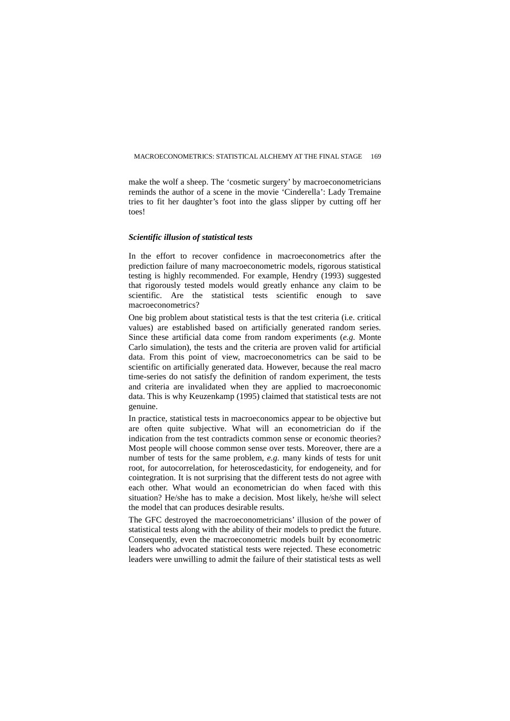make the wolf a sheep. The 'cosmetic surgery' by macroeconometricians reminds the author of a scene in the movie 'Cinderella': Lady Tremaine tries to fit her daughter's foot into the glass slipper by cutting off her toes!

#### *Scientific illusion of statistical tests*

In the effort to recover confidence in macroeconometrics after the prediction failure of many macroeconometric models, rigorous statistical testing is highly recommended. For example, Hendry (1993) suggested that rigorously tested models would greatly enhance any claim to be scientific. Are the statistical tests scientific enough to save macroeconometrics?

One big problem about statistical tests is that the test criteria (i.e. critical values) are established based on artificially generated random series. Since these artificial data come from random experiments (*e.g.* Monte Carlo simulation), the tests and the criteria are proven valid for artificial data. From this point of view, macroeconometrics can be said to be scientific on artificially generated data. However, because the real macro time-series do not satisfy the definition of random experiment, the tests and criteria are invalidated when they are applied to macroeconomic data. This is why Keuzenkamp (1995) claimed that statistical tests are not genuine.

In practice, statistical tests in macroeconomics appear to be objective but are often quite subjective. What will an econometrician do if the indication from the test contradicts common sense or economic theories? Most people will choose common sense over tests. Moreover, there are a number of tests for the same problem, *e.g.* many kinds of tests for unit root, for autocorrelation, for heteroscedasticity, for endogeneity, and for cointegration. It is not surprising that the different tests do not agree with each other. What would an econometrician do when faced with this situation? He/she has to make a decision. Most likely, he/she will select the model that can produces desirable results.

The GFC destroyed the macroeconometricians' illusion of the power of statistical tests along with the ability of their models to predict the future. Consequently, even the macroeconometric models built by econometric leaders who advocated statistical tests were rejected. These econometric leaders were unwilling to admit the failure of their statistical tests as well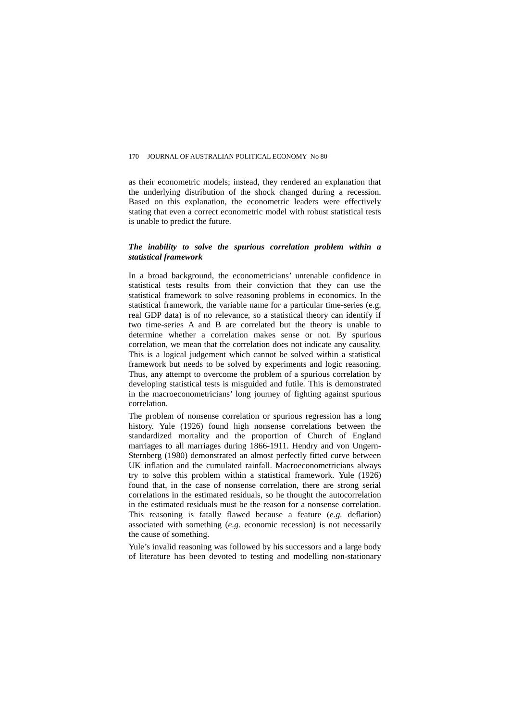as their econometric models; instead, they rendered an explanation that the underlying distribution of the shock changed during a recession. Based on this explanation, the econometric leaders were effectively stating that even a correct econometric model with robust statistical tests is unable to predict the future.

### *The inability to solve the spurious correlation problem within a statistical framework*

In a broad background, the econometricians' untenable confidence in statistical tests results from their conviction that they can use the statistical framework to solve reasoning problems in economics. In the statistical framework, the variable name for a particular time-series (e.g. real GDP data) is of no relevance, so a statistical theory can identify if two time-series A and B are correlated but the theory is unable to determine whether a correlation makes sense or not. By spurious correlation, we mean that the correlation does not indicate any causality. This is a logical judgement which cannot be solved within a statistical framework but needs to be solved by experiments and logic reasoning. Thus, any attempt to overcome the problem of a spurious correlation by developing statistical tests is misguided and futile. This is demonstrated in the macroeconometricians' long journey of fighting against spurious correlation.

The problem of nonsense correlation or spurious regression has a long history. Yule (1926) found high nonsense correlations between the standardized mortality and the proportion of Church of England marriages to all marriages during 1866-1911. Hendry and von Ungern-Sternberg (1980) demonstrated an almost perfectly fitted curve between UK inflation and the cumulated rainfall. Macroeconometricians always try to solve this problem within a statistical framework. Yule (1926) found that, in the case of nonsense correlation, there are strong serial correlations in the estimated residuals, so he thought the autocorrelation in the estimated residuals must be the reason for a nonsense correlation. This reasoning is fatally flawed because a feature (*e.g.* deflation) associated with something (*e.g.* economic recession) is not necessarily the cause of something.

Yule's invalid reasoning was followed by his successors and a large body of literature has been devoted to testing and modelling non-stationary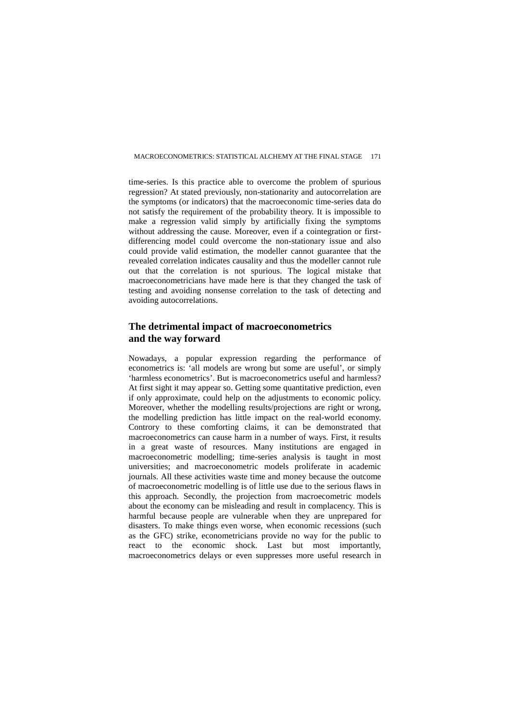time-series. Is this practice able to overcome the problem of spurious regression? At stated previously, non-stationarity and autocorrelation are the symptoms (or indicators) that the macroeconomic time-series data do not satisfy the requirement of the probability theory. It is impossible to make a regression valid simply by artificially fixing the symptoms without addressing the cause. Moreover, even if a cointegration or firstdifferencing model could overcome the non-stationary issue and also could provide valid estimation, the modeller cannot guarantee that the revealed correlation indicates causality and thus the modeller cannot rule out that the correlation is not spurious. The logical mistake that macroeconometricians have made here is that they changed the task of testing and avoiding nonsense correlation to the task of detecting and avoiding autocorrelations.

## **The detrimental impact of macroeconometrics and the way forward**

Nowadays, a popular expression regarding the performance of econometrics is: 'all models are wrong but some are useful', or simply 'harmless econometrics'. But is macroeconometrics useful and harmless? At first sight it may appear so. Getting some quantitative prediction, even if only approximate, could help on the adjustments to economic policy. Moreover, whether the modelling results/projections are right or wrong, the modelling prediction has little impact on the real-world economy. Controry to these comforting claims, it can be demonstrated that macroeconometrics can cause harm in a number of ways. First, it results in a great waste of resources. Many institutions are engaged in macroeconometric modelling; time-series analysis is taught in most universities; and macroeconometric models proliferate in academic journals. All these activities waste time and money because the outcome of macroeconometric modelling is of little use due to the serious flaws in this approach. Secondly, the projection from macroecometric models about the economy can be misleading and result in complacency. This is harmful because people are vulnerable when they are unprepared for disasters. To make things even worse, when economic recessions (such as the GFC) strike, econometricians provide no way for the public to react to the economic shock. Last but most importantly, macroeconometrics delays or even suppresses more useful research in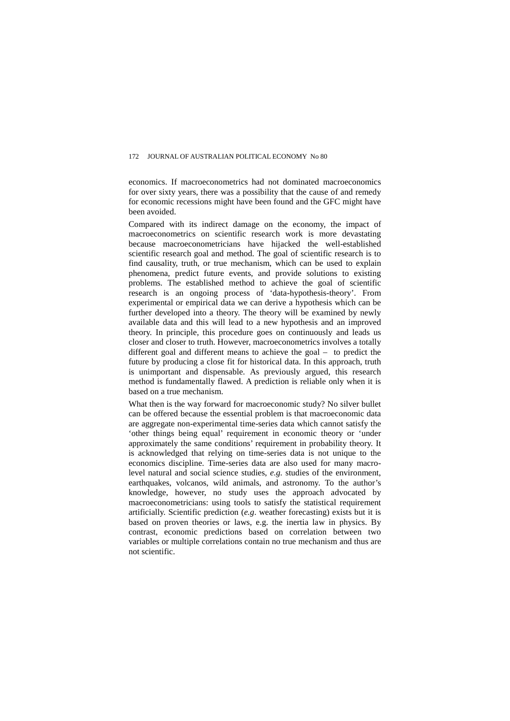economics. If macroeconometrics had not dominated macroeconomics for over sixty years, there was a possibility that the cause of and remedy for economic recessions might have been found and the GFC might have been avoided.

Compared with its indirect damage on the economy, the impact of macroeconometrics on scientific research work is more devastating because macroeconometricians have hijacked the well-established scientific research goal and method. The goal of scientific research is to find causality, truth, or true mechanism, which can be used to explain phenomena, predict future events, and provide solutions to existing problems. The established method to achieve the goal of scientific research is an ongoing process of 'data-hypothesis-theory'. From experimental or empirical data we can derive a hypothesis which can be further developed into a theory. The theory will be examined by newly available data and this will lead to a new hypothesis and an improved theory. In principle, this procedure goes on continuously and leads us closer and closer to truth. However, macroeconometrics involves a totally different goal and different means to achieve the goal – to predict the future by producing a close fit for historical data. In this approach, truth is unimportant and dispensable. As previously argued, this research method is fundamentally flawed. A prediction is reliable only when it is based on a true mechanism.

What then is the way forward for macroeconomic study? No silver bullet can be offered because the essential problem is that macroeconomic data are aggregate non-experimental time-series data which cannot satisfy the 'other things being equal' requirement in economic theory or 'under approximately the same conditions' requirement in probability theory. It is acknowledged that relying on time-series data is not unique to the economics discipline. Time-series data are also used for many macrolevel natural and social science studies, *e.g.* studies of the environment, earthquakes, volcanos, wild animals, and astronomy. To the author's knowledge, however, no study uses the approach advocated by macroeconometricians: using tools to satisfy the statistical requirement artificially. Scientific prediction (*e.g*. weather forecasting) exists but it is based on proven theories or laws, e.g. the inertia law in physics. By contrast, economic predictions based on correlation between two variables or multiple correlations contain no true mechanism and thus are not scientific.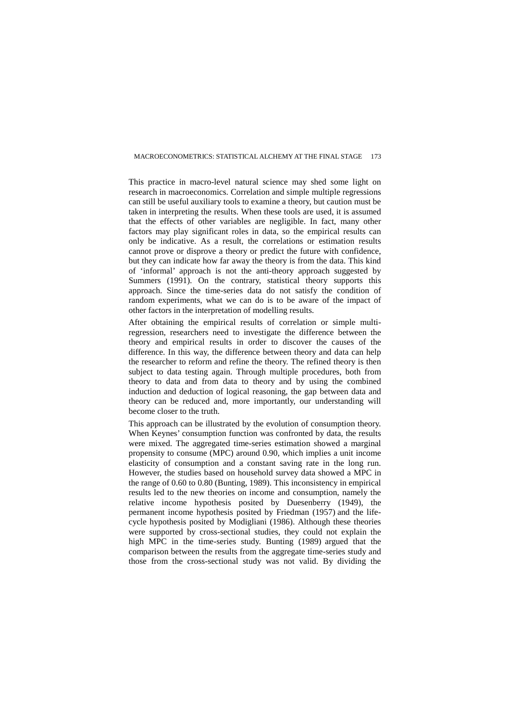This practice in macro-level natural science may shed some light on research in macroeconomics. Correlation and simple multiple regressions can still be useful auxiliary tools to examine a theory, but caution must be taken in interpreting the results. When these tools are used, it is assumed that the effects of other variables are negligible. In fact, many other factors may play significant roles in data, so the empirical results can only be indicative. As a result, the correlations or estimation results cannot prove or disprove a theory or predict the future with confidence, but they can indicate how far away the theory is from the data. This kind of 'informal' approach is not the anti-theory approach suggested by Summers (1991). On the contrary, statistical theory supports this approach. Since the time-series data do not satisfy the condition of random experiments, what we can do is to be aware of the impact of other factors in the interpretation of modelling results.

After obtaining the empirical results of correlation or simple multiregression, researchers need to investigate the difference between the theory and empirical results in order to discover the causes of the difference. In this way, the difference between theory and data can help the researcher to reform and refine the theory. The refined theory is then subject to data testing again. Through multiple procedures, both from theory to data and from data to theory and by using the combined induction and deduction of logical reasoning, the gap between data and theory can be reduced and, more importantly, our understanding will become closer to the truth.

This approach can be illustrated by the evolution of consumption theory. When Keynes' consumption function was confronted by data, the results were mixed. The aggregated time-series estimation showed a marginal propensity to consume (MPC) around 0.90, which implies a unit income elasticity of consumption and a constant saving rate in the long run. However, the studies based on household survey data showed a MPC in the range of 0.60 to 0.80 (Bunting, 1989). This inconsistency in empirical results led to the new theories on income and consumption, namely the relative income hypothesis posited by Duesenberry (1949), the permanent income hypothesis posited by Friedman (1957) and the lifecycle hypothesis posited by Modigliani (1986). Although these theories were supported by cross-sectional studies, they could not explain the high MPC in the time-series study. Bunting (1989) argued that the comparison between the results from the aggregate time-series study and those from the cross-sectional study was not valid. By dividing the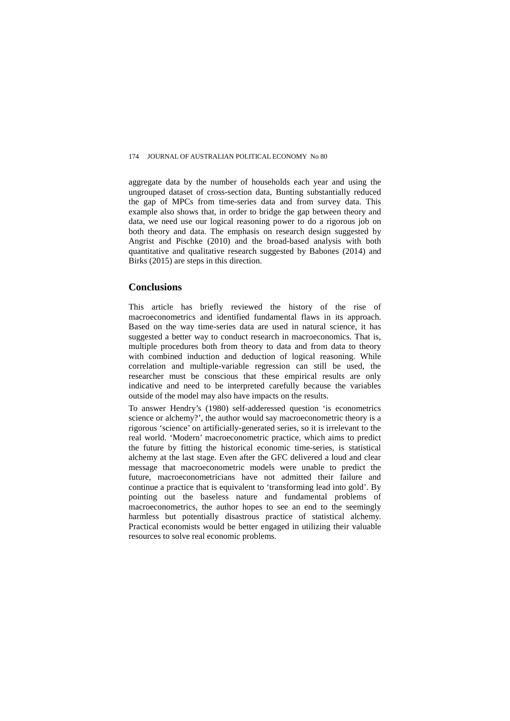aggregate data by the number of households each year and using the ungrouped dataset of cross-section data, Bunting substantially reduced the gap of MPCs from time-series data and from survey data. This example also shows that, in order to bridge the gap between theory and data, we need use our logical reasoning power to do a rigorous job on both theory and data. The emphasis on research design suggested by Angrist and Pischke (2010) and the broad-based analysis with both quantitative and qualitative research suggested by Babones (2014) and Birks (2015) are steps in this direction.

## **Conclusions**

This article has briefly reviewed the history of the rise of macroeconometrics and identified fundamental flaws in its approach. Based on the way time-series data are used in natural science, it has suggested a better way to conduct research in macroeconomics. That is, multiple procedures both from theory to data and from data to theory with combined induction and deduction of logical reasoning. While correlation and multiple-variable regression can still be used, the researcher must be conscious that these empirical results are only indicative and need to be interpreted carefully because the variables outside of the model may also have impacts on the results.

To answer Hendry's (1980) self-adderessed question 'is econometrics science or alchemy?', the author would say macroeconometric theory is a rigorous 'science' on artificially-generated series, so it is irrelevant to the real world. 'Modern' macroeconometric practice, which aims to predict the future by fitting the historical economic time-series, is statistical alchemy at the last stage. Even after the GFC delivered a loud and clear message that macroeconometric models were unable to predict the future, macroeconometricians have not admitted their failure and continue a practice that is equivalent to 'transforming lead into gold'. By pointing out the baseless nature and fundamental problems of macroeconometrics, the author hopes to see an end to the seemingly harmless but potentially disastrous practice of statistical alchemy. Practical economists would be better engaged in utilizing their valuable resources to solve real economic problems.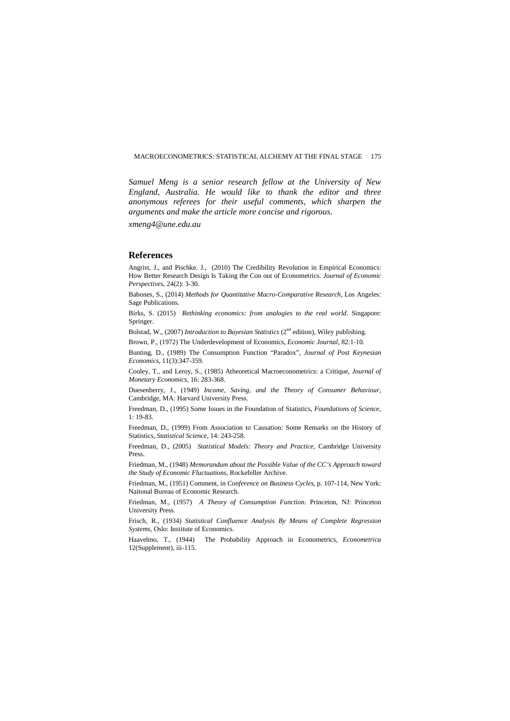*Samuel Meng is a senior research fellow at the University of New England, Australia. He would like to thank the editor and three anonymous referees for their useful comments, which sharpen the arguments and make the article more concise and rigorous.*

*xmeng4@une.edu.au*

#### **References**

Angrist, J., and Pischke. J., (2010) The Credibility Revolution in Empirical Economics: How Better Research Design Is Taking the Con out of Econometrics. *Journal of Economic Perspectives*, 24(2): 3-30.

Babones, S., (2014) *Methods for Quantitative Macro-Comparative Research*, Los Angeles: Sage Publications.

Birks, S. (2015) *Rethinking economics: from analogies to the real world*. Singapore: Springer.

Bolstad, W., (2007) *Introduction to Bayesian Statistics* (2nd edition), Wiley publishing.

Brown, P., (1972) The Underdevelopment of Economics, *Economic Journal*, 82:1-10.

Bunting, D., (1989) The Consumption Function "Paradox", *Journal of Post Keynesian Economics*, 11(3):347-359.

Cooley, T., and Leroy, S., (1985) Atheoretical Macroeconometrics: a Critique, *Journal of Monetary Economics*, 16: 283-368.

Duesenberry, J., (1949) *Income, Saving, and the Theory of Consumer Behaviour*, Cambridge, MA: Harvard University Press.

Freedman, D., (1995) Some Issues in the Foundation of Statistics, *Foundations of Science*, 1: 19-83.

Freedman, D., (1999) From Association to Causation: Some Remarks on the History of Statistics, *Statistical Science*, 14: 243-258.

Freedman, D., (2005) *Statistical Models: Theory and Practice*, Cambridge University Press.

Friedman, M., (1948) *Memorandum about the Possible Value of the CC's Approach toward the Study of Economic Fluctuations*, Rockefeller Archive.

Friedman, M., (1951) Comment, in *Conference on Business Cycles*, p. 107-114, New York: Naitonal Bureau of Economic Research.

Friedman, M., (1957) *A Theory of Consumption Function*. Princeton, NJ: Princeton University Press.

Frisch, R., (1934) *Statistical Confluence Analysis By Means of Complete Regression Systems*, Oslo: Institute of Economics.

Haavelmo, T., (1944) The Probability Approach in Econometrics, *Econometrica* 12(Supplement), iii-115.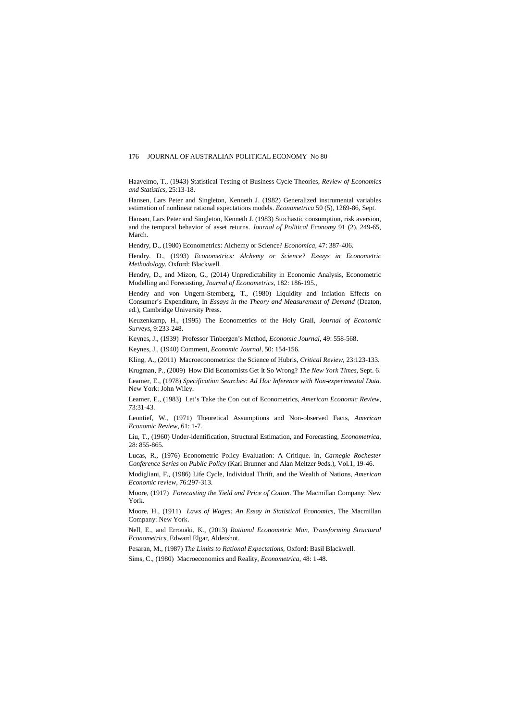Haavelmo, T., (1943) Statistical Testing of Business Cycle Theories, *Review of Economics and Statistics*, 25:13-18.

Hansen, Lars Peter and Singleton, Kenneth J. (1982) Generalized instrumental variables estimation of nonlinear rational expectations models. *Econometrica* 50 (5), 1269-86, Sept.

Hansen, Lars Peter and Singleton, Kenneth J. (1983) Stochastic consumption, risk aversion, and the temporal behavior of asset returns. *Journal of Political Economy* 91 (2), 249-65, March.

Hendry, D., (1980) Econometrics: Alchemy or Science? *Economica*, 47: 387-406.

Hendry. D., (1993) *Econometrics: Alchemy or Science? Essays in Econometric Methodology*. Oxford: Blackwell.

Hendry, D., and Mizon, G., (2014) Unpredictability in Economic Analysis, Econometric Modelling and Forecasting, *Journal of Econometrics*, 182: 186-195.,

Hendry and von Ungern-Sternberg, T., (1980) Liquidity and Inflation Effects on Consumer's Expenditure, In *Essays in the Theory and Measurement of Demand* (Deaton, ed.), Cambridge University Press.

Keuzenkamp, H., (1995) The Econometrics of the Holy Grail, *Journal of Economic Surveys*, 9:233-248.

Keynes, J., (1939) Professor Tinbergen's Method, *Economic Journal*, 49: 558-568.

Keynes, J., (1940) Comment, *Economic Journal*, 50: 154-156.

Kling, A., (2011) Macroeconometrics: the Science of Hubris, *Critical Review*, 23:123-133.

Krugman, P., (2009) How Did Economists Get It So Wrong? *The New York Times*, Sept. 6. Leamer, E., (1978) *Specification Searches: Ad Hoc Inference with Non-experimental Data*. New York: John Wiley.

Leamer, E., (1983) Let's Take the Con out of Econometrics, *American Economic Review*, 73:31-43.

Leontief, W., (1971) Theoretical Assumptions and Non-observed Facts, *American Economic Review*, 61: 1-7.

Liu, T., (1960) Under-identification, Structural Estimation, and Forecasting, *Econometrica*, 28: 855-865.

Lucas, R., (1976) Econometric Policy Evaluation: A Critique. In, *Carnegie Rochester Conference Series on Public Policy* (Karl Brunner and Alan Meltzer 9eds.), Vol.1, 19-46.

Modigliani, F., (1986) Life Cycle, Individual Thrift, and the Wealth of Nations, *American Economic review*, 76:297-313.

Moore, (1917) *Forecasting the Yield and Price of Cotton*. The Macmillan Company: New York.

Moore, H., (1911) *Laws of Wages: An Essay in Statistical Economics*, The Macmillan Company: New York.

Nell, E., and Errouaki, K., (2013) *Rational Econometric Man, Transforming Structural Econometrics*, Edward Elgar, Aldershot.

Pesaran, M., (1987) *The Limits to Rational Expectations*, Oxford: Basil Blackwell.

Sims, C., (1980) Macroeconomics and Reality, *Econometrica*, 48: 1-48.